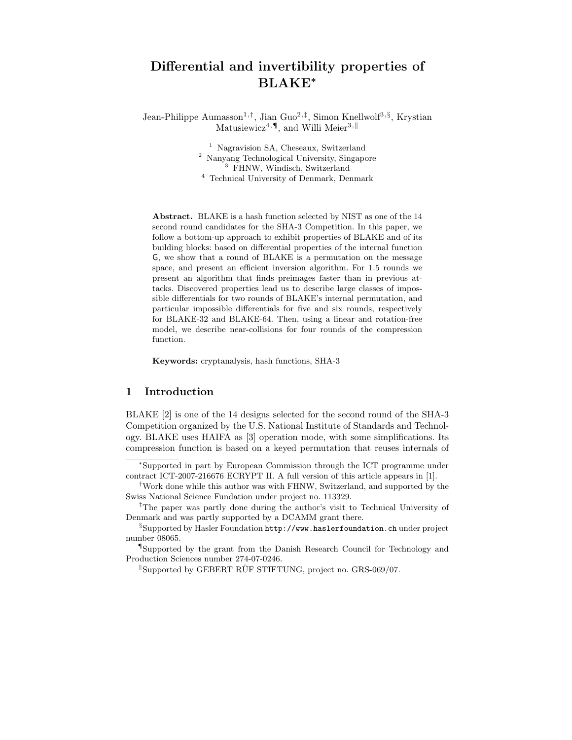# Differential and invertibility properties of BLAKE<sup>∗</sup>

Jean-Philippe Aumasson<sup>1,†</sup>, Jian Guo<sup>2,‡</sup>, Simon Knellwolf<sup>3,§</sup>, Krystian Matusiewicz<sup>4, $\P$ </sup>, and Willi Meier<sup>3,||</sup>

> Nagravision SA, Cheseaux, Switzerland Nanyang Technological University, Singapore FHNW, Windisch, Switzerland Technical University of Denmark, Denmark

Abstract. BLAKE is a hash function selected by NIST as one of the 14 second round candidates for the SHA-3 Competition. In this paper, we follow a bottom-up approach to exhibit properties of BLAKE and of its building blocks: based on differential properties of the internal function G, we show that a round of BLAKE is a permutation on the message space, and present an efficient inversion algorithm. For 1.5 rounds we present an algorithm that finds preimages faster than in previous attacks. Discovered properties lead us to describe large classes of impossible differentials for two rounds of BLAKE's internal permutation, and particular impossible differentials for five and six rounds, respectively for BLAKE-32 and BLAKE-64. Then, using a linear and rotation-free model, we describe near-collisions for four rounds of the compression function.

Keywords: cryptanalysis, hash functions, SHA-3

### 1 Introduction

BLAKE [2] is one of the 14 designs selected for the second round of the SHA-3 Competition organized by the U.S. National Institute of Standards and Technology. BLAKE uses HAIFA as [3] operation mode, with some simplifications. Its compression function is based on a keyed permutation that reuses internals of

<sup>∗</sup>Supported in part by European Commission through the ICT programme under contract ICT-2007-216676 ECRYPT II. A full version of this article appears in [1].

<sup>†</sup>Work done while this author was with FHNW, Switzerland, and supported by the Swiss National Science Fundation under project no. 113329.

<sup>‡</sup>The paper was partly done during the author's visit to Technical University of Denmark and was partly supported by a DCAMM grant there.

<sup>§</sup>Supported by Hasler Foundation http://www.haslerfoundation.ch under project number 08065.

<sup>¶</sup>Supported by the grant from the Danish Research Council for Technology and Production Sciences number 274-07-0246.

 $\mu$ Supported by GEBERT RÜF STIFTUNG, project no. GRS-069/07.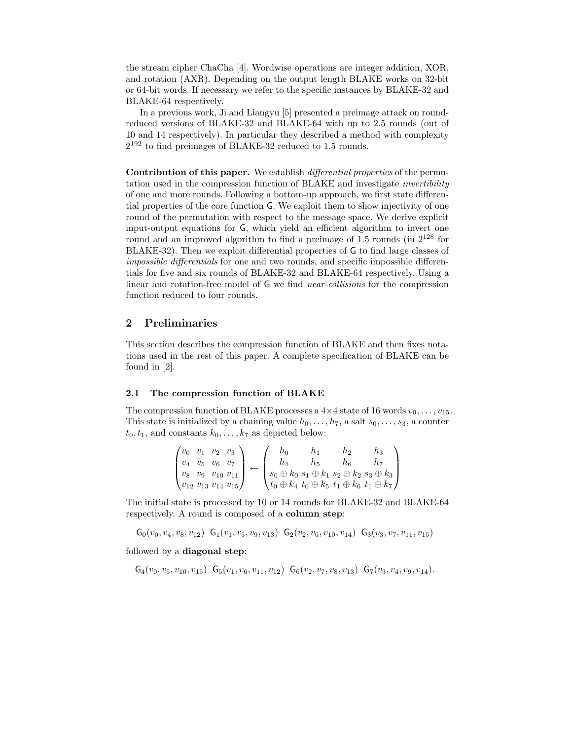the stream cipher ChaCha [4]. Wordwise operations are integer addition, XOR, and rotation (AXR). Depending on the output length BLAKE works on 32-bit or 64-bit words. If necessary we refer to the specific instances by BLAKE-32 and BLAKE-64 respectively.

In a previous work, Ji and Liangyu [5] presented a preimage attack on roundreduced versions of BLAKE-32 and BLAKE-64 with up to 2.5 rounds (out of 10 and 14 respectively). In particular they described a method with complexity 2 <sup>192</sup> to find preimages of BLAKE-32 reduced to 1.5 rounds.

Contribution of this paper. We establish differential properties of the permutation used in the compression function of BLAKE and investigate invertibility of one and more rounds. Following a bottom-up approach, we first state differential properties of the core function G. We exploit them to show injectivity of one round of the permutation with respect to the message space. We derive explicit input-output equations for G, which yield an efficient algorithm to invert one round and an improved algorithm to find a preimage of 1.5 rounds (in  $2^{128}$  for BLAKE-32). Then we exploit differential properties of G to find large classes of impossible differentials for one and two rounds, and specific impossible differentials for five and six rounds of BLAKE-32 and BLAKE-64 respectively. Using a linear and rotation-free model of G we find near-collisions for the compression function reduced to four rounds.

# 2 Preliminaries

This section describes the compression function of BLAKE and then fixes notations used in the rest of this paper. A complete specification of BLAKE can be found in [2].

#### 2.1 The compression function of BLAKE

The compression function of BLAKE processes a  $4\times 4$  state of 16 words  $v_0, \ldots, v_{15}$ . This state is initialized by a chaining value  $h_0, \ldots, h_7$ , a salt  $s_0, \ldots, s_3$ , a counter  $t_0, t_1$ , and constants  $k_0, \ldots, k_7$  as depicted below:

$$
\begin{pmatrix} v_0 & v_1 & v_2 & v_3 \ v_4 & v_5 & v_6 & v_7 \ v_8 & v_9 & v_{10} & v_{11} \ v_{12} & v_{13} & v_{14} & v_{15} \end{pmatrix} \leftarrow \begin{pmatrix} h_0 & h_1 & h_2 & h_3 \ h_4 & h_5 & h_6 & h_7 \ s_0 \oplus k_0 & s_1 \oplus k_1 & s_2 \oplus k_2 & s_3 \oplus k_3 \ t_0 \oplus k_4 & t_0 \oplus k_5 & t_1 \oplus k_6 & t_1 \oplus k_7 \end{pmatrix}
$$

The initial state is processed by 10 or 14 rounds for BLAKE-32 and BLAKE-64 respectively. A round is composed of a column step:

 $\mathsf{G}_{0}(v_{0}, v_{4}, v_{8}, v_{12}) \ \mathsf{G}_{1}(v_{1}, v_{5}, v_{9}, v_{13}) \ \mathsf{G}_{2}(v_{2}, v_{6}, v_{10}, v_{14}) \ \mathsf{G}_{3}(v_{3}, v_{7}, v_{11}, v_{15})$ 

followed by a diagonal step:

 $G_4(v_0, v_5, v_{10}, v_{15})$   $G_5(v_1, v_6, v_{11}, v_{12})$   $G_6(v_2, v_7, v_8, v_{13})$   $G_7(v_3, v_4, v_9, v_{14})$ .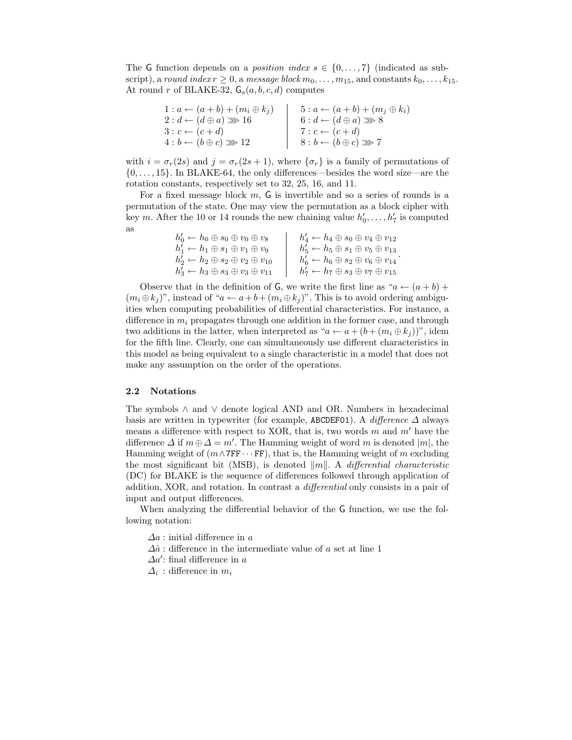The G function depends on a *position index s*  $\in \{0, \ldots, 7\}$  (indicated as subscript), a round index  $r \geq 0$ , a message block  $m_0, \ldots, m_{15}$ , and constants  $k_0, \ldots, k_{15}$ . At round r of BLAKE-32,  $\mathsf{G}_s(a, b, c, d)$  computes

| $1: a \leftarrow (a+b) + (m_i \oplus k_j)$ | $5: a \leftarrow (a+b) + (m_j \oplus k_i)$ |
|--------------------------------------------|--------------------------------------------|
| $2: d \leftarrow (d \oplus a) \ggg 16$     | $6:d \leftarrow (d \oplus a) \ggg 8$       |
| $3: c \leftarrow (c+d)$                    | $7: c \leftarrow (c+d)$                    |
| $4:b \leftarrow (b \oplus c) \ggg 12$      | $8:b \leftarrow (b \oplus c) \ggg 7$       |

with  $i = \sigma_r(2s)$  and  $j = \sigma_r(2s + 1)$ , where  $\{\sigma_r\}$  is a family of permutations of  ${0, \ldots, 15}$ . In BLAKE-64, the only differences—besides the word size—are the rotation constants, respectively set to 32, 25, 16, and 11.

For a fixed message block  $m$ ,  $G$  is invertible and so a series of rounds is a permutation of the state. One may view the permutation as a block cipher with key m. After the 10 or 14 rounds the new chaining value  $h'_0, \ldots, h'_7$  is computed as

| $h'_0 \leftarrow h_0 \oplus s_0 \oplus v_0 \oplus v_8$    | $h'_4 \leftarrow h_4 \oplus s_0 \oplus v_4 \oplus v_{12}$ |
|-----------------------------------------------------------|-----------------------------------------------------------|
| $h'_1 \leftarrow h_1 \oplus s_1 \oplus v_1 \oplus v_9$    | $h'_5 \leftarrow h_5 \oplus s_1 \oplus v_5 \oplus v_{13}$ |
| $h'_2 \leftarrow h_2 \oplus s_2 \oplus v_2 \oplus v_{10}$ | $h'_6 \leftarrow h_6 \oplus s_2 \oplus v_6 \oplus v_{14}$ |
| $h'_3 \leftarrow h_3 \oplus s_3 \oplus v_3 \oplus v_{11}$ | $h'_7 \leftarrow h_7 \oplus s_3 \oplus v_7 \oplus v_{15}$ |

Observe that in the definition of G, we write the first line as " $a \leftarrow (a + b) +$  $(m_i \oplus k_j)$ ", instead of " $a \leftarrow a+b+(m_i \oplus k_j)$ ". This is to avoid ordering ambiguities when computing probabilities of differential characteristics. For instance, a difference in  $m_i$  propagates through one addition in the former case, and through two additions in the latter, when interpreted as " $a \leftarrow a + (b + (m_i \oplus k_i))^n$ , idem for the fifth line. Clearly, one can simultaneously use different characteristics in this model as being equivalent to a single characteristic in a model that does not make any assumption on the order of the operations.

#### 2.2 Notations

The symbols ∧ and ∨ denote logical AND and OR. Numbers in hexadecimal basis are written in typewriter (for example, ABCDEF01). A *difference*  $\Delta$  always means a difference with respect to XOR, that is, two words  $m$  and  $m'$  have the difference  $\Delta$  if  $m \oplus \Delta = m'$ . The Hamming weight of word m is denoted  $|m|$ , the Hamming weight of  $(m \wedge 7FF \cdots FF)$ , that is, the Hamming weight of m excluding the most significant bit (MSB), is denoted  $\|m\|$ . A *differential characteristic* (DC) for BLAKE is the sequence of differences followed through application of addition, XOR, and rotation. In contrast a differential only consists in a pair of input and output differences.

When analyzing the differential behavior of the G function, we use the following notation:

 $\Delta a$ : initial difference in a

 $\Delta \hat{a}$  : difference in the intermediate value of a set at line 1

 $\Delta a'$ : final difference in a

 $\Delta_i$ : difference in  $m_i$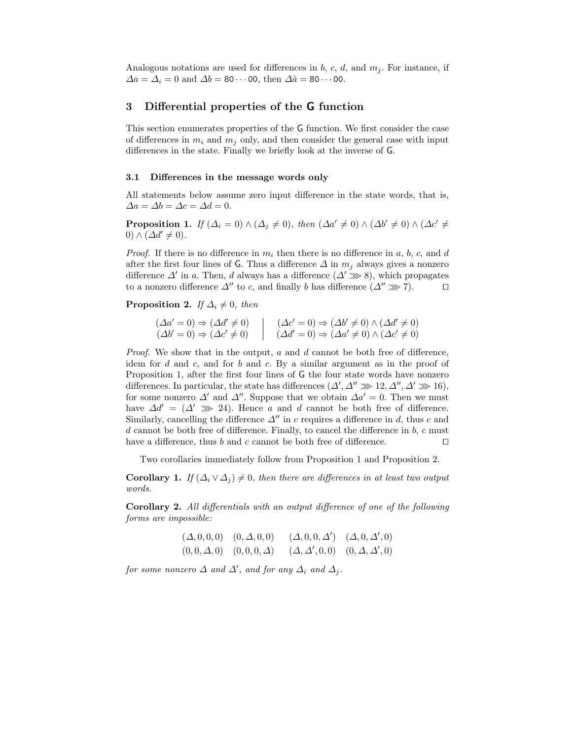Analogous notations are used for differences in b, c, d, and  $m_i$ . For instance, if  $\Delta a = \Delta_i = 0$  and  $\Delta b = 80 \cdots 00$ , then  $\Delta \hat{a} = 80 \cdots 00$ .

# 3 Differential properties of the G function

This section enumerates properties of the G function. We first consider the case of differences in  $m_i$  and  $m_j$  only, and then consider the general case with input differences in the state. Finally we briefly look at the inverse of G.

#### 3.1 Differences in the message words only

All statements below assume zero input difference in the state words, that is,  $\Delta a = \Delta b = \Delta c = \Delta d = 0.$ 

**Proposition 1.** If  $(\Delta_i = 0) \wedge (\Delta_j \neq 0)$ , then  $(\Delta a' \neq 0) \wedge (\Delta b' \neq 0) \wedge (\Delta c' \neq 0)$ 0)  $\wedge$   $(\Delta d' \neq 0)$ .

*Proof.* If there is no difference in  $m_i$  then there is no difference in a, b, c, and d after the first four lines of G. Thus a difference  $\Delta$  in  $m_i$  always gives a nonzero difference  $\Delta'$  in a. Then, d always has a difference  $(\Delta' \gg 8)$ , which propagates to a nonzero difference  $\Delta''$  to c, and finally b has difference  $(\Delta'' \ggg 7)$ . □

**Proposition 2.** If  $\Delta_i \neq 0$ , then

$$
(\Delta a' = 0) \Rightarrow (\Delta d' \neq 0)
$$
  
\n
$$
(\Delta b' = 0) \Rightarrow (\Delta c' \neq 0)
$$
  
\n
$$
(\Delta d' = 0) \Rightarrow (\Delta b' \neq 0) \land (\Delta d' \neq 0)
$$
  
\n
$$
(\Delta d' = 0) \Rightarrow (\Delta a' \neq 0) \land (\Delta c' \neq 0)
$$

*Proof.* We show that in the output,  $a$  and  $d$  cannot be both free of difference, idem for  $d$  and  $c$ , and for  $b$  and  $c$ . By a similar argument as in the proof of Proposition 1, after the first four lines of G the four state words have nonzero differences. In particular, the state has differences  $(\Delta', \Delta'' \gg 12, \Delta'', \Delta' \gg 16)$ , for some nonzero  $\Delta'$  and  $\Delta''$ . Suppose that we obtain  $\Delta a' = 0$ . Then we must have  $\Delta d' = (\Delta' \ggg 24)$ . Hence a and d cannot be both free of difference. Similarly, cancelling the difference  $\Delta''$  in c requires a difference in d, thus c and  $d$  cannot be both free of difference. Finally, to cancel the difference in  $b, c$  must have a difference, thus b and c cannot be both free of difference.  $□$ 

Two corollaries immediately follow from Proposition 1 and Proposition 2.

Corollary 1. If  $(\Delta_i \vee \Delta_j) \neq 0$ , then there are differences in at least two output words.

Corollary 2. All differentials with an output difference of one of the following forms are impossible:

$$
(\Delta, 0, 0, 0)
$$
  $(0, \Delta, 0, 0)$   $(\Delta, 0, 0, \Delta')$   $(\Delta, 0, \Delta', 0)$   
 $(0, 0, \Delta, 0)$   $(0, 0, 0, \Delta)$   $(\Delta, \Delta', 0, 0)$   $(0, \Delta, \Delta', 0)$ 

for some nonzero  $\Delta$  and  $\Delta'$ , and for any  $\Delta_i$  and  $\Delta_j$ .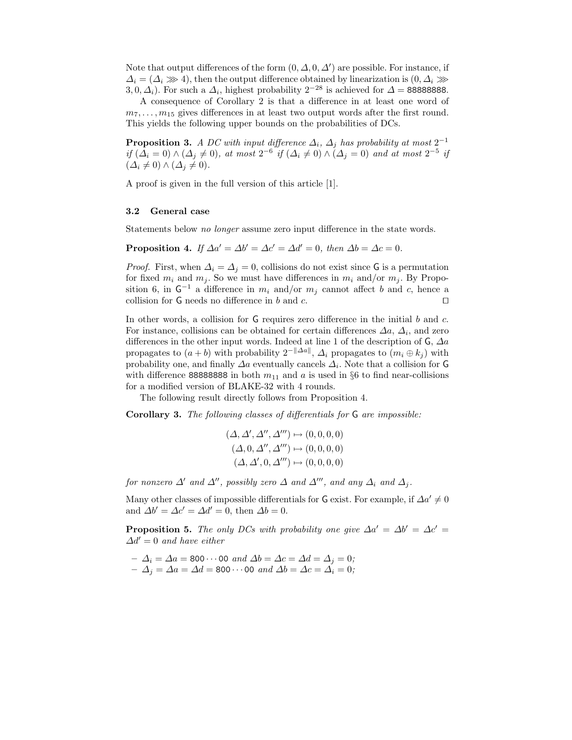Note that output differences of the form  $(0, \Delta, 0, \Delta')$  are possible. For instance, if  $\Delta_i = (\Delta_i \gg 4)$ , then the output difference obtained by linearization is  $(0, \Delta_i \gg 4)$ 3, 0,  $\Delta_i$ ). For such a  $\Delta_i$ , highest probability  $2^{-28}$  is achieved for  $\Delta = 888888888$ .

A consequence of Corollary 2 is that a difference in at least one word of  $m_7, \ldots, m_{15}$  gives differences in at least two output words after the first round. This yields the following upper bounds on the probabilities of DCs.

**Proposition 3.** A DC with input difference  $\Delta_i$ ,  $\Delta_j$  has probability at most 2<sup>-1</sup> if  $(\Delta_i = 0) \wedge (\Delta_j \neq 0)$ , at most  $2^{-6}$  if  $(\Delta_i \neq 0) \wedge (\Delta_j = 0)$  and at most  $2^{-5}$  if  $(\Delta_i \neq 0) \wedge (\Delta_j \neq 0).$ 

A proof is given in the full version of this article [1].

#### 3.2 General case

Statements below no longer assume zero input difference in the state words.

**Proposition 4.** If  $\Delta a' = \Delta b' = \Delta c' = \Delta d' = 0$ , then  $\Delta b = \Delta c = 0$ .

*Proof.* First, when  $\Delta_i = \Delta_j = 0$ , collisions do not exist since G is a permutation for fixed  $m_i$  and  $m_j$ . So we must have differences in  $m_i$  and/or  $m_j$ . By Proposition 6, in  $G^{-1}$  a difference in  $m_i$  and/or  $m_j$  cannot affect b and c, hence a collision for G needs no difference in b and c.  $□$ 

In other words, a collision for  $G$  requires zero difference in the initial  $b$  and  $c$ . For instance, collisions can be obtained for certain differences  $\Delta a$ ,  $\Delta_i$ , and zero differences in the other input words. Indeed at line 1 of the description of  $\mathsf{G}, \Delta a$ propagates to  $(a + b)$  with probability  $2^{-\|\Delta a\|}$ ,  $\Delta_i$  propagates to  $(m_i \oplus k_j)$  with probability one, and finally  $\Delta a$  eventually cancels  $\Delta_i$ . Note that a collision for G with difference 888888888 in both  $m_{11}$  and a is used in §6 to find near-collisions for a modified version of BLAKE-32 with 4 rounds.

The following result directly follows from Proposition 4.

Corollary 3. The following classes of differentials for G are impossible:

$$
(\Delta, \Delta', \Delta'', \Delta''') \mapsto (0, 0, 0, 0)
$$
  

$$
(\Delta, 0, \Delta'', \Delta''') \mapsto (0, 0, 0, 0)
$$
  

$$
(\Delta, \Delta', 0, \Delta''') \mapsto (0, 0, 0, 0)
$$

for nonzero  $\Delta'$  and  $\Delta''$ , possibly zero  $\Delta$  and  $\Delta'''$ , and any  $\Delta_i$  and  $\Delta_j$ .

Many other classes of impossible differentials for G exist. For example, if  $\Delta a' \neq 0$ and  $\Delta b' = \Delta c' = \Delta d' = 0$ , then  $\Delta b = 0$ .

**Proposition 5.** The only DCs with probability one give  $\Delta a' = \Delta b' = \Delta c'$  $\Delta d' = 0$  and have either

- $-\Delta_i = \Delta a = 800 \cdots 00$  and  $\Delta b = \Delta c = \Delta d = \Delta_j = 0;$
- $-\Delta_j = \Delta a = \Delta d = 800 \cdots 00 \text{ and } \Delta b = \Delta c = \Delta_i = 0;$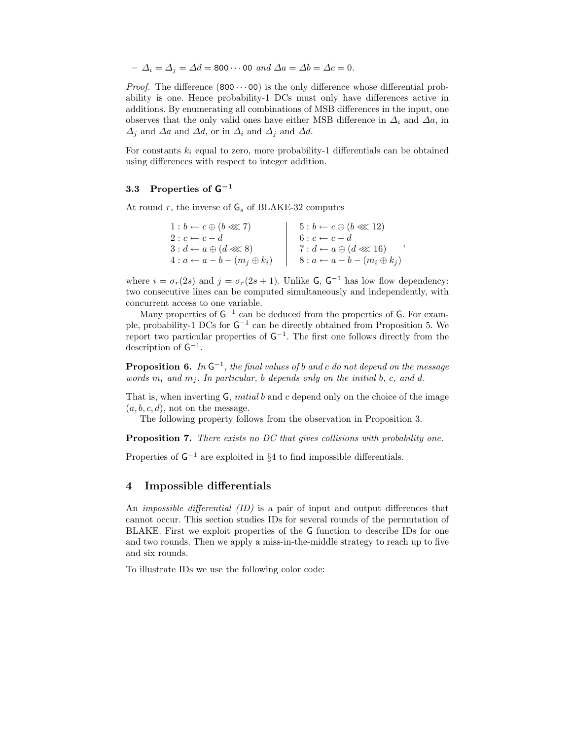```
-\Delta_i = \Delta_j = \Delta d = 800 \cdots 00 and \Delta a = \Delta b = \Delta c = 0.
```
*Proof.* The difference  $(800 \cdots 00)$  is the only difference whose differential probability is one. Hence probability-1 DCs must only have differences active in additions. By enumerating all combinations of MSB differences in the input, one observes that the only valid ones have either MSB difference in  $\Delta_i$  and  $\Delta a$ , in  $\Delta_j$  and  $\Delta a$  and  $\Delta d$ , or in  $\Delta_i$  and  $\Delta j$  and  $\Delta d$ .

For constants  $k_i$  equal to zero, more probability-1 differentials can be obtained using differences with respect to integer addition.

## 3.3 Properties of  $\mathsf{G}^{-1}$

At round  $r$ , the inverse of  $G_s$  of BLAKE-32 computes

| $1:b \leftarrow c \oplus (b \lll 7)$       | $5:b\leftarrow c\oplus (b\ll 12)$          |
|--------------------------------------------|--------------------------------------------|
| $2: c \leftarrow c - d$                    | $6: c \leftarrow c - d$                    |
| $3: d \leftarrow a \oplus (d \lll 8)$      | $7: d \leftarrow a \oplus (d \lll 16)$     |
| $4: a \leftarrow a - b - (m_j \oplus k_i)$ | $8: a \leftarrow a - b - (m_i \oplus k_j)$ |

where  $i = \sigma_r(2s)$  and  $j = \sigma_r(2s + 1)$ . Unlike G, G<sup>-1</sup> has low flow dependency: two consecutive lines can be computed simultaneously and independently, with concurrent access to one variable.

Many properties of  $G^{-1}$  can be deduced from the properties of G. For example, probability-1 DCs for  $G^{-1}$  can be directly obtained from Proposition 5. We report two particular properties of  $G^{-1}$ . The first one follows directly from the description of  $G^{-1}$ .

**Proposition 6.** In  $G^{-1}$ , the final values of b and c do not depend on the message words  $m_i$  and  $m_j$ . In particular, b depends only on the initial b, c, and d.

That is, when inverting  $\mathsf G$ , *initial b* and c depend only on the choice of the image  $(a, b, c, d)$ , not on the message.

The following property follows from the observation in Proposition 3.

Proposition 7. There exists no DC that gives collisions with probability one.

Properties of  $G^{-1}$  are exploited in §4 to find impossible differentials.

#### 4 Impossible differentials

An impossible differential (ID) is a pair of input and output differences that cannot occur. This section studies IDs for several rounds of the permutation of BLAKE. First we exploit properties of the G function to describe IDs for one and two rounds. Then we apply a miss-in-the-middle strategy to reach up to five and six rounds.

To illustrate IDs we use the following color code: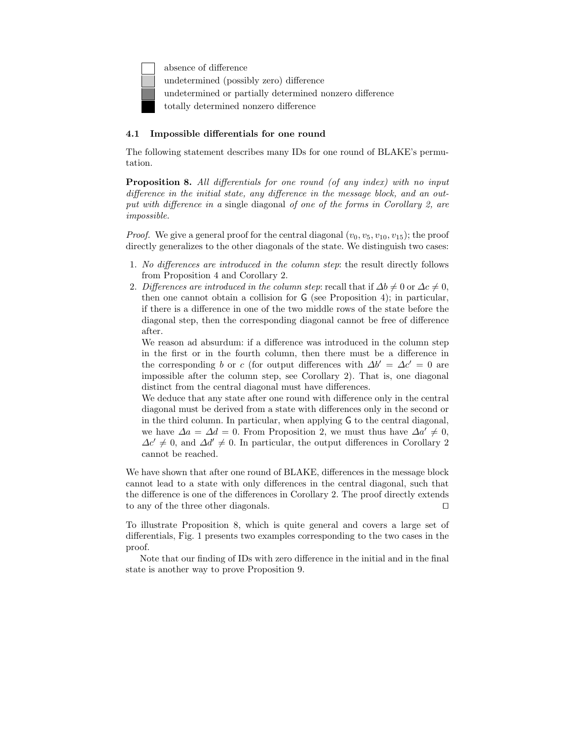absence of difference undetermined (possibly zero) difference undetermined or partially determined nonzero difference totally determined nonzero difference

### 4.1 Impossible differentials for one round

The following statement describes many IDs for one round of BLAKE's permutation.

Proposition 8. All differentials for one round (of any index) with no input difference in the initial state, any difference in the message block, and an output with difference in a single diagonal of one of the forms in Corollary 2, are impossible.

*Proof.* We give a general proof for the central diagonal  $(v_0, v_5, v_{10}, v_{15})$ ; the proof directly generalizes to the other diagonals of the state. We distinguish two cases:

- 1. No differences are introduced in the column step: the result directly follows from Proposition 4 and Corollary 2.
- 2. Differences are introduced in the column step: recall that if  $\Delta b \neq 0$  or  $\Delta c \neq 0$ , then one cannot obtain a collision for G (see Proposition 4); in particular, if there is a difference in one of the two middle rows of the state before the diagonal step, then the corresponding diagonal cannot be free of difference after.

We reason ad absurdum: if a difference was introduced in the column step in the first or in the fourth column, then there must be a difference in the corresponding b or c (for output differences with  $\Delta b' = \Delta c' = 0$  are impossible after the column step, see Corollary 2). That is, one diagonal distinct from the central diagonal must have differences.

We deduce that any state after one round with difference only in the central diagonal must be derived from a state with differences only in the second or in the third column. In particular, when applying G to the central diagonal, we have  $\Delta a = \Delta d = 0$ . From Proposition 2, we must thus have  $\Delta a' \neq 0$ ,  $\Delta c' \neq 0$ , and  $\Delta d' \neq 0$ . In particular, the output differences in Corollary 2 cannot be reached.

We have shown that after one round of BLAKE, differences in the message block cannot lead to a state with only differences in the central diagonal, such that the difference is one of the differences in Corollary 2. The proof directly extends to any of the three other diagonals. ⊓⊔

To illustrate Proposition 8, which is quite general and covers a large set of differentials, Fig. 1 presents two examples corresponding to the two cases in the proof.

Note that our finding of IDs with zero difference in the initial and in the final state is another way to prove Proposition 9.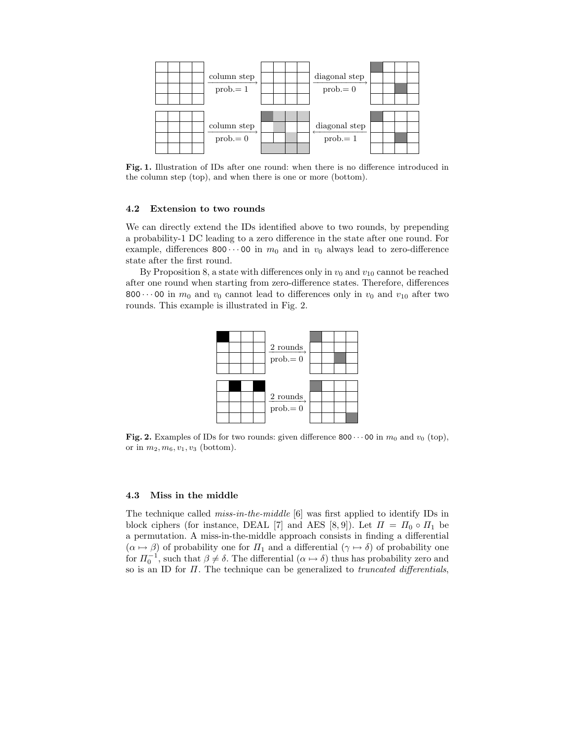

Fig. 1. Illustration of IDs after one round: when there is no difference introduced in the column step (top), and when there is one or more (bottom).

#### 4.2 Extension to two rounds

We can directly extend the IDs identified above to two rounds, by prepending a probability-1 DC leading to a zero difference in the state after one round. For example, differences 800 $\cdots$ 00 in  $m_0$  and in  $v_0$  always lead to zero-difference state after the first round.

By Proposition 8, a state with differences only in  $v_0$  and  $v_{10}$  cannot be reached after one round when starting from zero-difference states. Therefore, differences 800 $\cdots$ 00 in  $m_0$  and  $v_0$  cannot lead to differences only in  $v_0$  and  $v_{10}$  after two rounds. This example is illustrated in Fig. 2.



Fig. 2. Examples of IDs for two rounds: given difference 800 $\cdots$  00 in  $m_0$  and  $v_0$  (top), or in  $m_2, m_6, v_1, v_3$  (bottom).

#### 4.3 Miss in the middle

The technique called *miss-in-the-middle* [6] was first applied to identify IDs in block ciphers (for instance, DEAL [7] and AES [8, 9]). Let  $\Pi = \Pi_0 \circ \Pi_1$  be a permutation. A miss-in-the-middle approach consists in finding a differential  $(\alpha \mapsto \beta)$  of probability one for  $\Pi_1$  and a differential  $(\gamma \mapsto \delta)$  of probability one for  $\Pi_0^{-1}$ , such that  $\beta \neq \delta$ . The differential  $(\alpha \mapsto \delta)$  thus has probability zero and so is an ID for  $\Pi$ . The technique can be generalized to *truncated differentials*,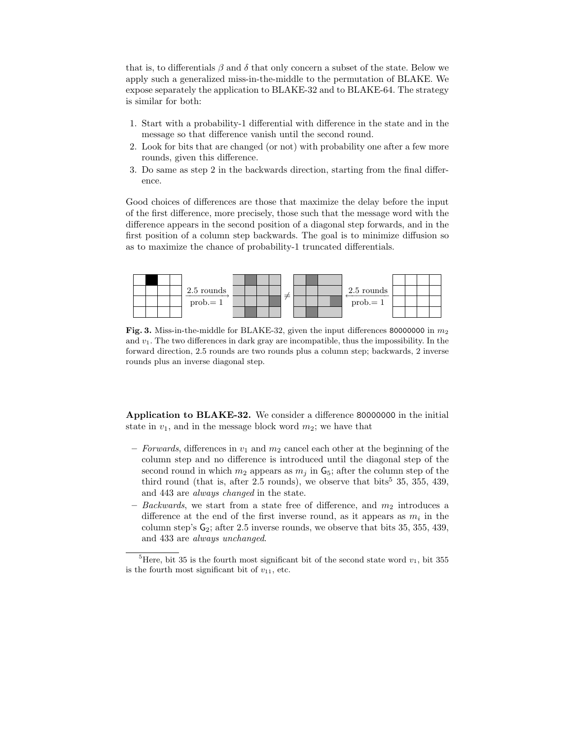that is, to differentials  $\beta$  and  $\delta$  that only concern a subset of the state. Below we apply such a generalized miss-in-the-middle to the permutation of BLAKE. We expose separately the application to BLAKE-32 and to BLAKE-64. The strategy is similar for both:

- 1. Start with a probability-1 differential with difference in the state and in the message so that difference vanish until the second round.
- 2. Look for bits that are changed (or not) with probability one after a few more rounds, given this difference.
- 3. Do same as step 2 in the backwards direction, starting from the final difference.

Good choices of differences are those that maximize the delay before the input of the first difference, more precisely, those such that the message word with the difference appears in the second position of a diagonal step forwards, and in the first position of a column step backwards. The goal is to minimize diffusion so as to maximize the chance of probability-1 truncated differentials.



Fig. 3. Miss-in-the-middle for BLAKE-32, given the input differences 80000000 in  $m_2$ and  $v_1$ . The two differences in dark gray are incompatible, thus the impossibility. In the forward direction, 2.5 rounds are two rounds plus a column step; backwards, 2 inverse rounds plus an inverse diagonal step.

Application to BLAKE-32. We consider a difference 80000000 in the initial state in  $v_1$ , and in the message block word  $m_2$ ; we have that

- Forwards, differences in  $v_1$  and  $m_2$  cancel each other at the beginning of the column step and no difference is introduced until the diagonal step of the second round in which  $m_2$  appears as  $m_j$  in  $\mathsf{G}_5$ ; after the column step of the third round (that is, after 2.5 rounds), we observe that bits<sup>5</sup> 35, 355, 439, and 443 are always changed in the state.
- Backwards, we start from a state free of difference, and  $m_2$  introduces a difference at the end of the first inverse round, as it appears as  $m_i$  in the column step's  $G_2$ ; after 2.5 inverse rounds, we observe that bits 35, 355, 439, and 433 are always unchanged.

<sup>&</sup>lt;sup>5</sup>Here, bit 35 is the fourth most significant bit of the second state word  $v_1$ , bit 355 is the fourth most significant bit of  $v_{11}$ , etc.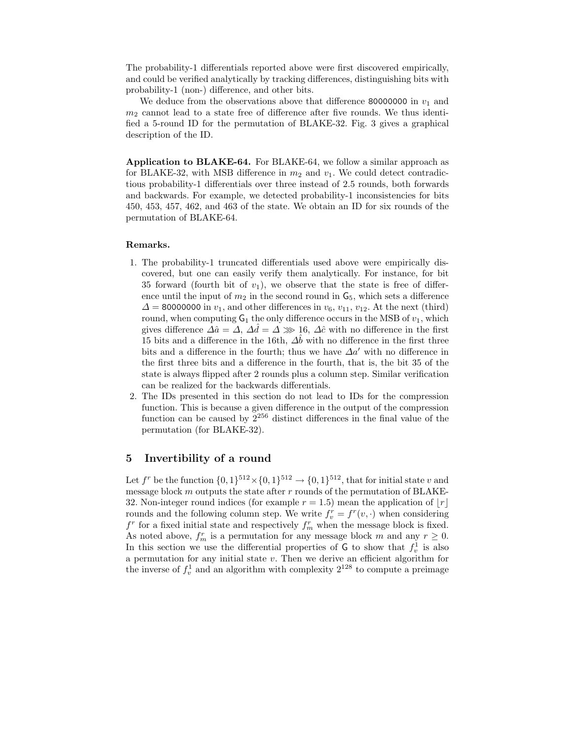The probability-1 differentials reported above were first discovered empirically, and could be verified analytically by tracking differences, distinguishing bits with probability-1 (non-) difference, and other bits.

We deduce from the observations above that difference 80000000 in  $v_1$  and  $m<sub>2</sub>$  cannot lead to a state free of difference after five rounds. We thus identified a 5-round ID for the permutation of BLAKE-32. Fig. 3 gives a graphical description of the ID.

Application to BLAKE-64. For BLAKE-64, we follow a similar approach as for BLAKE-32, with MSB difference in  $m_2$  and  $v_1$ . We could detect contradictious probability-1 differentials over three instead of 2.5 rounds, both forwards and backwards. For example, we detected probability-1 inconsistencies for bits 450, 453, 457, 462, and 463 of the state. We obtain an ID for six rounds of the permutation of BLAKE-64.

#### Remarks.

- 1. The probability-1 truncated differentials used above were empirically discovered, but one can easily verify them analytically. For instance, for bit 35 forward (fourth bit of  $v_1$ ), we observe that the state is free of difference until the input of  $m_2$  in the second round in  $\mathsf{G}_5$ , which sets a difference  $\Delta$  = 80000000 in  $v_1$ , and other differences in  $v_6$ ,  $v_{11}$ ,  $v_{12}$ . At the next (third) round, when computing  $G_1$  the only difference occurs in the MSB of  $v_1$ , which gives difference  $\Delta \hat{a} = \Delta$ ,  $\Delta \hat{d} = \Delta \gg 16$ ,  $\Delta \hat{c}$  with no difference in the first 15 bits and a difference in the 16th,  $\Delta\hat{b}$  with no difference in the first three bits and a difference in the fourth; thus we have  $\Delta a'$  with no difference in the first three bits and a difference in the fourth, that is, the bit 35 of the state is always flipped after 2 rounds plus a column step. Similar verification can be realized for the backwards differentials.
- 2. The IDs presented in this section do not lead to IDs for the compression function. This is because a given difference in the output of the compression function can be caused by  $2^{256}$  distinct differences in the final value of the permutation (for BLAKE-32).

### 5 Invertibility of a round

Let  $f^r$  be the function  $\{0,1\}^{512} \times \{0,1\}^{512} \rightarrow \{0,1\}^{512}$ , that for initial state v and message block  $m$  outputs the state after  $r$  rounds of the permutation of BLAKE-32. Non-integer round indices (for example  $r = 1.5$ ) mean the application of  $|r|$ rounds and the following column step. We write  $f_v^r = f^r(v, \cdot)$  when considering  $f^r$  for a fixed initial state and respectively  $f_m^r$  when the message block is fixed. As noted above,  $f_m^r$  is a permutation for any message block m and any  $r \geq 0$ . In this section we use the differential properties of  $\overline{G}$  to show that  $f_v^1$  is also a permutation for any initial state  $v$ . Then we derive an efficient algorithm for the inverse of  $f_v^1$  and an algorithm with complexity  $2^{128}$  to compute a preimage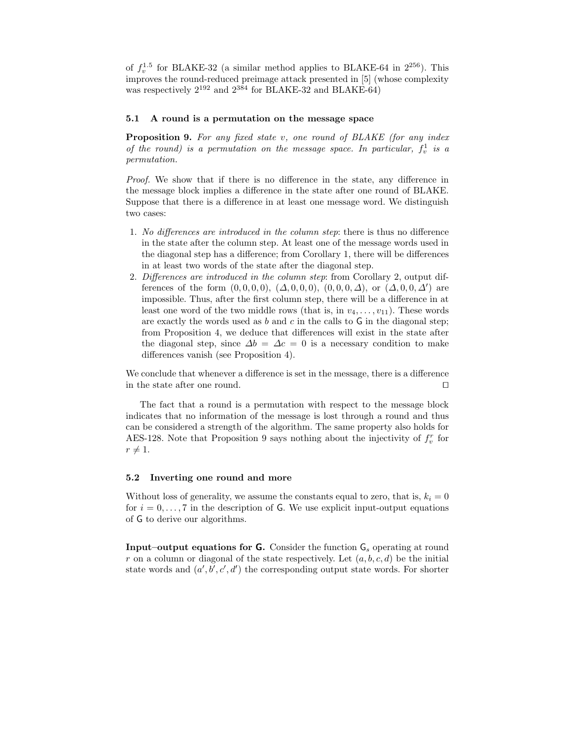of  $f_v^{1.5}$  for BLAKE-32 (a similar method applies to BLAKE-64 in  $2^{256}$ ). This improves the round-reduced preimage attack presented in [5] (whose complexity was respectively 2<sup>192</sup> and 2<sup>384</sup> for BLAKE-32 and BLAKE-64)

#### 5.1 A round is a permutation on the message space

Proposition 9. For any fixed state v, one round of BLAKE (for any index of the round) is a permutation on the message space. In particular,  $f_v^1$  is a permutation.

Proof. We show that if there is no difference in the state, any difference in the message block implies a difference in the state after one round of BLAKE. Suppose that there is a difference in at least one message word. We distinguish two cases:

- 1. No differences are introduced in the column step: there is thus no difference in the state after the column step. At least one of the message words used in the diagonal step has a difference; from Corollary 1, there will be differences in at least two words of the state after the diagonal step.
- 2. Differences are introduced in the column step: from Corollary 2, output differences of the form  $(0,0,0,0)$ ,  $(\Delta,0,0,0)$ ,  $(0,0,0,\Delta)$ , or  $(\Delta,0,0,\Delta')$  are impossible. Thus, after the first column step, there will be a difference in at least one word of the two middle rows (that is, in  $v_4, \ldots, v_{11}$ ). These words are exactly the words used as  $b$  and  $c$  in the calls to  $\mathsf G$  in the diagonal step; from Proposition 4, we deduce that differences will exist in the state after the diagonal step, since  $\Delta b = \Delta c = 0$  is a necessary condition to make differences vanish (see Proposition 4).

We conclude that whenever a difference is set in the message, there is a difference in the state after one round.  $□$ 

The fact that a round is a permutation with respect to the message block indicates that no information of the message is lost through a round and thus can be considered a strength of the algorithm. The same property also holds for AES-128. Note that Proposition 9 says nothing about the injectivity of  $f_v^r$  for  $r \neq 1.$ 

#### 5.2 Inverting one round and more

Without loss of generality, we assume the constants equal to zero, that is,  $k_i = 0$ for  $i = 0, \ldots, 7$  in the description of G. We use explicit input-output equations of G to derive our algorithms.

**Input–output equations for G.** Consider the function  $\mathsf{G}_{s}$  operating at round r on a column or diagonal of the state respectively. Let  $(a, b, c, d)$  be the initial state words and  $(a', b', c', d')$  the corresponding output state words. For shorter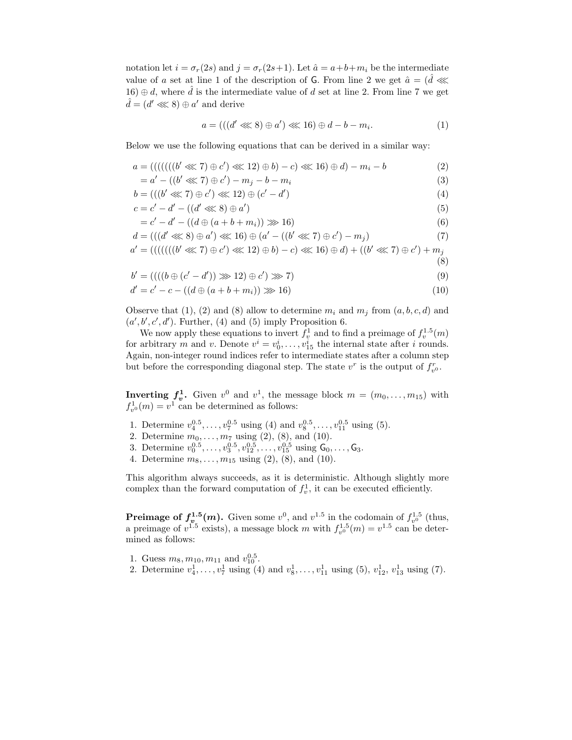notation let  $i = \sigma_r(2s)$  and  $j = \sigma_r(2s+1)$ . Let  $\hat{a} = a+b+m_i$  be the intermediate value of a set at line 1 of the description of G. From line 2 we get  $\hat{a} = (\hat{d} \lll)$ 16) ⊕ d, where  $\hat{d}$  is the intermediate value of d set at line 2. From line 7 we get  $\hat{d} = (d' \lll 8) \oplus a'$  and derive

$$
a = (((d' \lll 8) \oplus a') \lll 16) \oplus d - b - m_i.
$$
\n(1)

(8)

Below we use the following equations that can be derived in a similar way:

$$
a = ((((((b' \lll 7) \oplus c') \lll 12) \oplus b) - c) \lll 16) \oplus d) - m_i - b
$$
  
= a' - ((b' \lll 7) \oplus c') - m\_j - b - m\_i (3)

$$
b = (((b' \lll 7) \oplus c') \lll 12) \oplus (c' - d')
$$
\n(4)

$$
c = c' - d' - ((d' \lll s) \oplus a') \tag{5}
$$

$$
= c' - d' - ((d \oplus (a + b + m_i)) \ggg 16) \tag{6}
$$

$$
d = (((d' \lll 8) \oplus a') \lll 16) \oplus (a' - ((b' \lll 7) \oplus c') - m_j)
$$
\n(7)

$$
a' = ((((((b' \lll 7) \oplus c') \lll 12) \oplus b) - c) \lll 16) \oplus d) + ((b' \lll 7) \oplus c') + m_j
$$

$$
b' = ((( (b \oplus (c' - d')) \ggg 12) \oplus c') \ggg 7)
$$
\n(9)

$$
d' = c' - c - ((d \oplus (a + b + m_i)) \gg 16)
$$
\n(10)

Observe that (1), (2) and (8) allow to determine  $m_i$  and  $m_j$  from  $(a, b, c, d)$  and  $(a', b', c', d')$ . Further, (4) and (5) imply Proposition 6.

We now apply these equations to invert  $f_v^1$  and to find a preimage of  $f_v^{1.5}(m)$ for arbitrary m and v. Denote  $v^i = v_0^i, \ldots, v_{15}^i$  the internal state after i rounds. Again, non-integer round indices refer to intermediate states after a column step but before the corresponding diagonal step. The state  $v^r$  is the output of  $f_{v^0}^r$ .

**Inverting**  $f_v^1$ **.** Given  $v^0$  and  $v^1$ , the message block  $m = (m_0, \ldots, m_{15})$  with  $f_{v^0}^1(m) = v^1$  can be determined as follows:

- 1. Determine  $v_4^{0.5}, \ldots, v_7^{0.5}$  using (4) and  $v_8^{0.5}, \ldots, v_{11}^{0.5}$  using (5).
- 2. Determine  $m_0, \ldots, m_7$  using  $(2), (8),$  and  $(10)$ .
- 3. Determine  $v_0^{0.5}, \ldots, v_3^{0.5}, v_{12}^{0.5}, \ldots, v_{15}^{0.5}$  using  $\mathsf{G}_0, \ldots, \mathsf{G}_3$ .
- 4. Determine  $m_8, \ldots, m_{15}$  using  $(2), (8),$  and  $(10)$ .

This algorithm always succeeds, as it is deterministic. Although slightly more complex than the forward computation of  $f_v^1$ , it can be executed efficiently.

**Preimage of**  $f_{v}^{1.5}(m)$ **.** Given some  $v^0$ , and  $v^{1.5}$  in the codomain of  $f_{v^0}^{1.5}$  (thus, a preimage of  $v^{1.5}$  exists), a message block m with  $f_{v^{0}}^{1.5}(m) = v^{1.5}$  can be determined as follows:

- 1. Guess  $m_8, m_{10}, m_{11}$  and  $v_{10}^{0.5}$ .
- 2. Determine  $v_4^1, \ldots, v_7^1$  using (4) and  $v_8^1, \ldots, v_{11}^1$  using (5),  $v_{12}^1, v_{13}^1$  using (7).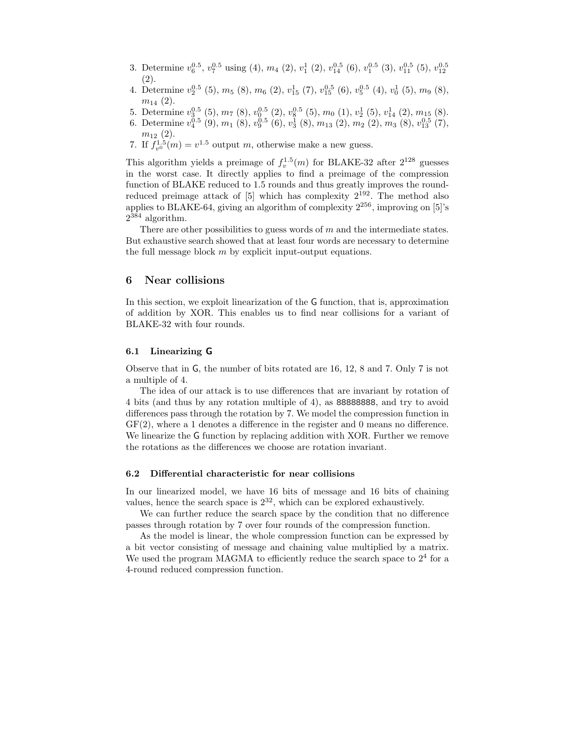- 3. Determine  $v_6^{0.5}$ ,  $v_7^{0.5}$  using (4),  $m_4$  (2),  $v_1^1$  (2),  $v_{14}^{0.5}$  (6),  $v_1^{0.5}$  (3),  $v_{11}^{0.5}$  (5),  $v_{12}^{0.5}$ (2).
- 4. Determine  $v_2^{0.5}$  (5),  $m_5$  (8),  $m_6$  (2),  $v_{15}^1$  (7),  $v_{15}^{0.5}$  (6),  $v_5^{0.5}$  (4),  $v_0^1$  (5),  $m_9$  (8),  $m_{14}$  (2).
- 5. Determine  $v_3^{0.5}$  (5),  $m_7$  (8),  $v_0^{0.5}$  (2),  $v_8^{0.5}$  (5),  $m_0$  (1),  $v_2^{1}$  (5),  $v_{14}^{1}$  (2),  $m_{15}$  (8).
- 6. Determine  $v_4^{0.5}(9), m_1(8), v_9^{0.5}(6), v_3^{1}(8), m_{13}(2), m_2(2), m_3(8), v_{13}^{0.5}(7),$  $m_{12}$   $(2).$
- 7. If  $f_{v0}^{1.5}(m) = v^{1.5}$  output m, otherwise make a new guess.

This algorithm yields a preimage of  $f_v^{1.5}(m)$  for BLAKE-32 after  $2^{128}$  guesses in the worst case. It directly applies to find a preimage of the compression function of BLAKE reduced to 1.5 rounds and thus greatly improves the roundreduced preimage attack of  $[5]$  which has complexity  $2^{192}$ . The method also applies to BLAKE-64, giving an algorithm of complexity  $2^{256}$ , improving on [5]'s  $2^{384}$  algorithm.

There are other possibilities to guess words of m and the intermediate states. But exhaustive search showed that at least four words are necessary to determine the full message block  $m$  by explicit input-output equations.

### 6 Near collisions

In this section, we exploit linearization of the G function, that is, approximation of addition by XOR. This enables us to find near collisions for a variant of BLAKE-32 with four rounds.

### 6.1 Linearizing G

Observe that in G, the number of bits rotated are 16, 12, 8 and 7. Only 7 is not a multiple of 4.

The idea of our attack is to use differences that are invariant by rotation of 4 bits (and thus by any rotation multiple of 4), as 88888888, and try to avoid differences pass through the rotation by 7. We model the compression function in GF(2), where a 1 denotes a difference in the register and 0 means no difference. We linearize the G function by replacing addition with XOR. Further we remove the rotations as the differences we choose are rotation invariant.

#### 6.2 Differential characteristic for near collisions

In our linearized model, we have 16 bits of message and 16 bits of chaining values, hence the search space is  $2^{32}$ , which can be explored exhaustively.

We can further reduce the search space by the condition that no difference passes through rotation by 7 over four rounds of the compression function.

As the model is linear, the whole compression function can be expressed by a bit vector consisting of message and chaining value multiplied by a matrix. We used the program MAGMA to efficiently reduce the search space to  $2<sup>4</sup>$  for a 4-round reduced compression function.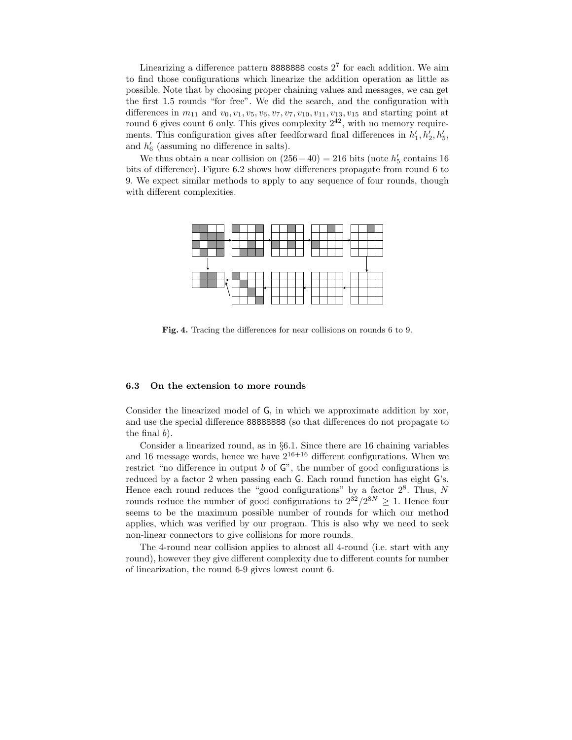Linearizing a difference pattern 8888888 costs  $2<sup>7</sup>$  for each addition. We aim to find those configurations which linearize the addition operation as little as possible. Note that by choosing proper chaining values and messages, we can get the first 1.5 rounds "for free". We did the search, and the configuration with differences in  $m_{11}$  and  $v_0, v_1, v_5, v_6, v_7, v_7, v_{10}, v_{11}, v_{13}, v_{15}$  and starting point at round 6 gives count 6 only. This gives complexity  $2^{42}$ , with no memory requirements. This configuration gives after feedforward final differences in  $h'_1, h'_2, h'_5$ , and  $h'_6$  (assuming no difference in salts).

We thus obtain a near collision on  $(256-40) = 216$  bits (note  $h'_5$  contains 16 bits of difference). Figure 6.2 shows how differences propagate from round 6 to 9. We expect similar methods to apply to any sequence of four rounds, though with different complexities.



Fig. 4. Tracing the differences for near collisions on rounds 6 to 9.

### 6.3 On the extension to more rounds

Consider the linearized model of G, in which we approximate addition by xor, and use the special difference 88888888 (so that differences do not propagate to the final b).

Consider a linearized round, as in §6.1. Since there are 16 chaining variables and 16 message words, hence we have  $2^{16+16}$  different configurations. When we restrict "no difference in output  $b$  of  $\mathbb{G}$ ", the number of good configurations is reduced by a factor 2 when passing each G. Each round function has eight G's. Hence each round reduces the "good configurations" by a factor  $2^8$ . Thus, N rounds reduce the number of good configurations to  $2^{32}/2^{8N} \geq 1$ . Hence four seems to be the maximum possible number of rounds for which our method applies, which was verified by our program. This is also why we need to seek non-linear connectors to give collisions for more rounds.

The 4-round near collision applies to almost all 4-round (i.e. start with any round), however they give different complexity due to different counts for number of linearization, the round 6-9 gives lowest count 6.